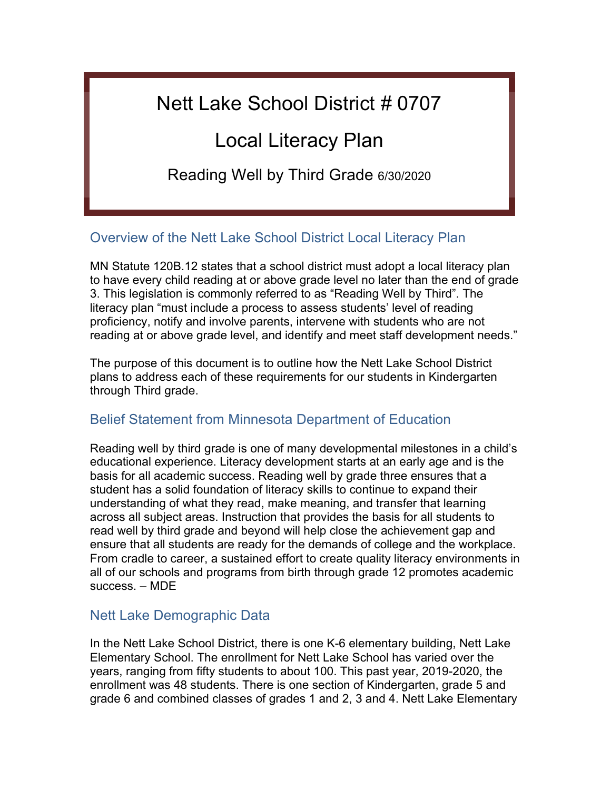# Nett Lake School District # 0707

# Local Literacy Plan

Reading Well by Third Grade 6/30/2020

# Overview of the Nett Lake School District Local Literacy Plan

MN Statute 120B.12 states that a school district must adopt a local literacy plan to have every child reading at or above grade level no later than the end of grade 3. This legislation is commonly referred to as "Reading Well by Third". The literacy plan "must include a process to assess students' level of reading proficiency, notify and involve parents, intervene with students who are not reading at or above grade level, and identify and meet staff development needs."

The purpose of this document is to outline how the Nett Lake School District plans to address each of these requirements for our students in Kindergarten through Third grade.

# Belief Statement from Minnesota Department of Education

Reading well by third grade is one of many developmental milestones in a child's educational experience. Literacy development starts at an early age and is the basis for all academic success. Reading well by grade three ensures that a student has a solid foundation of literacy skills to continue to expand their understanding of what they read, make meaning, and transfer that learning across all subject areas. Instruction that provides the basis for all students to read well by third grade and beyond will help close the achievement gap and ensure that all students are ready for the demands of college and the workplace. From cradle to career, a sustained effort to create quality literacy environments in all of our schools and programs from birth through grade 12 promotes academic success. – MDE

# Nett Lake Demographic Data

In the Nett Lake School District, there is one K-6 elementary building, Nett Lake Elementary School. The enrollment for Nett Lake School has varied over the years, ranging from fifty students to about 100. This past year, 2019-2020, the enrollment was 48 students. There is one section of Kindergarten, grade 5 and grade 6 and combined classes of grades 1 and 2, 3 and 4. Nett Lake Elementary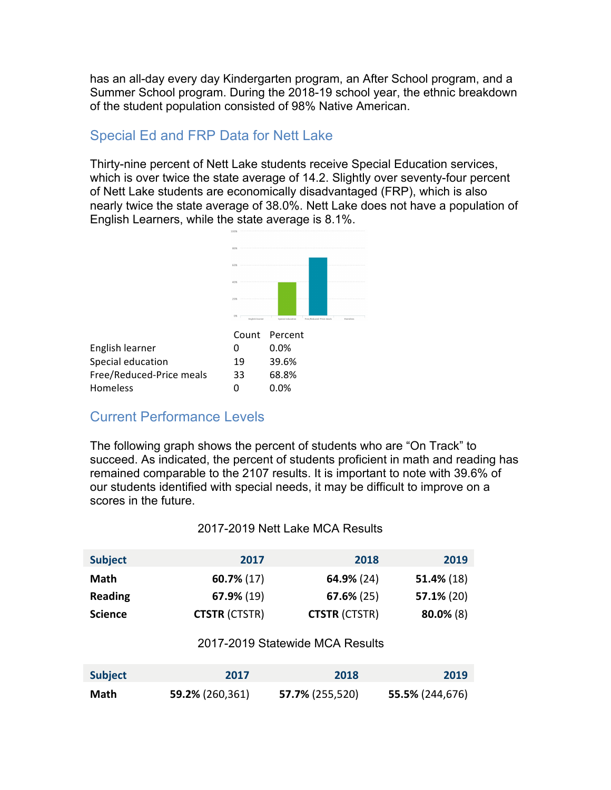has an all-day every day Kindergarten program, an After School program, and a Summer School program. During the 2018-19 school year, the ethnic breakdown of the student population consisted of 98% Native American.

# Special Ed and FRP Data for Nett Lake

Thirty-nine percent of Nett Lake students receive Special Education services, which is over twice the state average of 14.2. Slightly over seventy-four percent of Nett Lake students are economically disadvantaged (FRP), which is also nearly twice the state average of 38.0%. Nett Lake does not have a population of English Learners, while the state average is 8.1%.



# Current Performance Levels

The following graph shows the percent of students who are "On Track" to succeed. As indicated, the percent of students proficient in math and reading has remained comparable to the 2107 results. It is important to note with 39.6% of our students identified with special needs, it may be difficult to improve on a scores in the future.

#### 2017-2019 Nett Lake MCA Results

| <b>Subject</b> | 2017                 | 2018                 | 2019          |
|----------------|----------------------|----------------------|---------------|
| Math           | $60.7\%$ (17)        | 64.9% (24)           | $51.4\%$ (18) |
| <b>Reading</b> | $67.9\%$ (19)        | $67.6\%$ (25)        | $57.1\%$ (20) |
| <b>Science</b> | <b>CTSTR (CTSTR)</b> | <b>CTSTR (CTSTR)</b> | $80.0\%$ (8)  |

#### 2017-2019 Statewide MCA Results

| <b>Subject</b> | 2017            | 2018            | 2019            |
|----------------|-----------------|-----------------|-----------------|
| Math           | 59.2% (260,361) | 57.7% (255,520) | 55.5% (244,676) |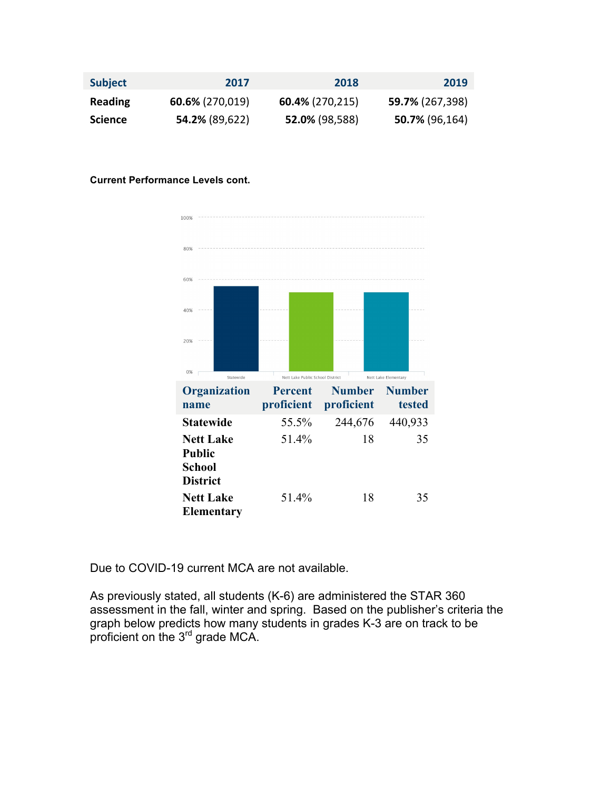| <b>Subject</b> | 2017               | 2018               | 2019            |
|----------------|--------------------|--------------------|-----------------|
| <b>Reading</b> | $60.6\%$ (270,019) | $60.4\%$ (270,215) | 59.7% (267,398) |
| Science        | 54.2% (89,622)     | 52.0% (98,588)     | 50.7% (96,164)  |

#### **Current Performance Levels cont.**



Due to COVID-19 current MCA are not available.

As previously stated, all students (K-6) are administered the STAR 360 assessment in the fall, winter and spring. Based on the publisher's criteria the graph below predicts how many students in grades K-3 are on track to be proficient on the 3<sup>rd</sup> grade MCA.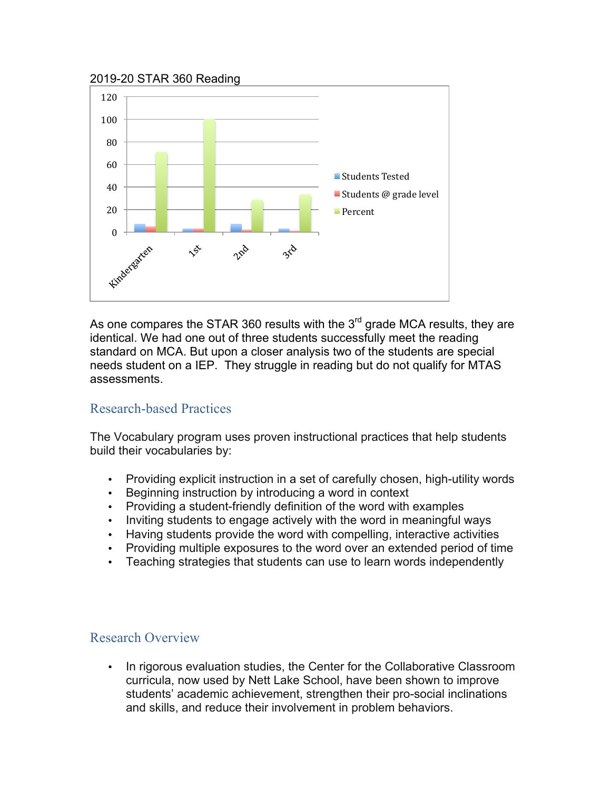#### 2019-20 STAR 360 Reading



As one compares the STAR 360 results with the  $3<sup>rd</sup>$  grade MCA results, they are identical. We had one out of three students successfully meet the reading standard on MCA. But upon a closer analysis two of the students are special needs student on a IEP. They struggle in reading but do not qualify for MTAS assessments.

# Research-based Practices

The Vocabulary program uses proven instructional practices that help students build their vocabularies by:

- Providing explicit instruction in a set of carefully chosen, high-utility words
- Beginning instruction by introducing a word in context
- Providing a student-friendly definition of the word with examples
- Inviting students to engage actively with the word in meaningful ways
- Having students provide the word with compelling, interactive activities
- Providing multiple exposures to the word over an extended period of time
- Teaching strategies that students can use to learn words independently

# Research Overview

• In rigorous evaluation studies, the Center for the Collaborative Classroom curricula, now used by Nett Lake School, have been shown to improve students' academic achievement, strengthen their pro-social inclinations and skills, and reduce their involvement in problem behaviors.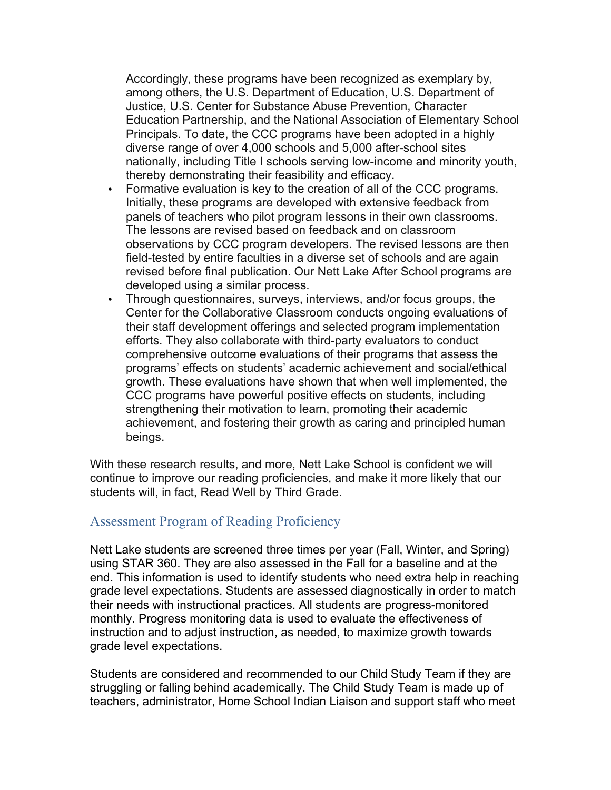Accordingly, these programs have been recognized as exemplary by, among others, the U.S. Department of Education, U.S. Department of Justice, U.S. Center for Substance Abuse Prevention, Character Education Partnership, and the National Association of Elementary School Principals. To date, the CCC programs have been adopted in a highly diverse range of over 4,000 schools and 5,000 after-school sites nationally, including Title I schools serving low-income and minority youth, thereby demonstrating their feasibility and efficacy.

- Formative evaluation is key to the creation of all of the CCC programs. Initially, these programs are developed with extensive feedback from panels of teachers who pilot program lessons in their own classrooms. The lessons are revised based on feedback and on classroom observations by CCC program developers. The revised lessons are then field-tested by entire faculties in a diverse set of schools and are again revised before final publication. Our Nett Lake After School programs are developed using a similar process.
- Through questionnaires, surveys, interviews, and/or focus groups, the Center for the Collaborative Classroom conducts ongoing evaluations of their staff development offerings and selected program implementation efforts. They also collaborate with third-party evaluators to conduct comprehensive outcome evaluations of their programs that assess the programs' effects on students' academic achievement and social/ethical growth. These evaluations have shown that when well implemented, the CCC programs have powerful positive effects on students, including strengthening their motivation to learn, promoting their academic achievement, and fostering their growth as caring and principled human beings.

With these research results, and more, Nett Lake School is confident we will continue to improve our reading proficiencies, and make it more likely that our students will, in fact, Read Well by Third Grade.

# Assessment Program of Reading Proficiency

Nett Lake students are screened three times per year (Fall, Winter, and Spring) using STAR 360. They are also assessed in the Fall for a baseline and at the end. This information is used to identify students who need extra help in reaching grade level expectations. Students are assessed diagnostically in order to match their needs with instructional practices. All students are progress-monitored monthly. Progress monitoring data is used to evaluate the effectiveness of instruction and to adjust instruction, as needed, to maximize growth towards grade level expectations.

Students are considered and recommended to our Child Study Team if they are struggling or falling behind academically. The Child Study Team is made up of teachers, administrator, Home School Indian Liaison and support staff who meet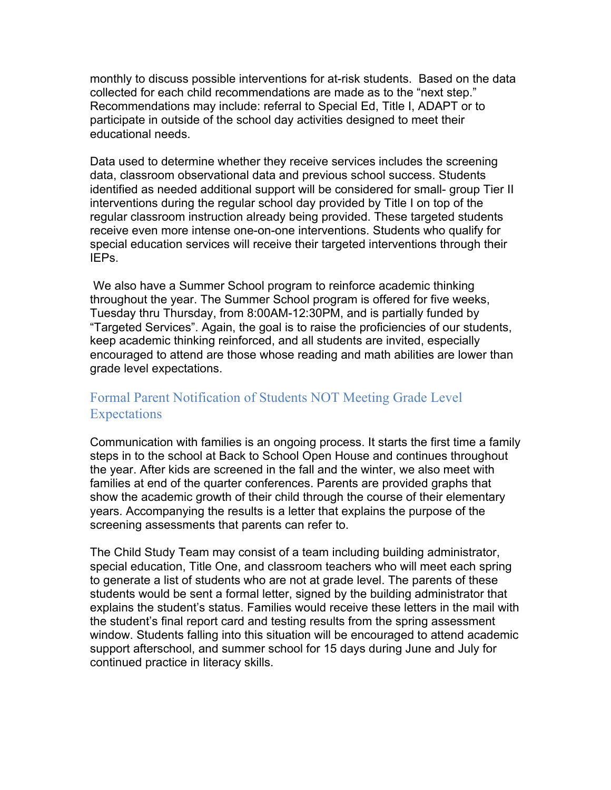monthly to discuss possible interventions for at-risk students. Based on the data collected for each child recommendations are made as to the "next step." Recommendations may include: referral to Special Ed, Title I, ADAPT or to participate in outside of the school day activities designed to meet their educational needs.

Data used to determine whether they receive services includes the screening data, classroom observational data and previous school success. Students identified as needed additional support will be considered for small- group Tier II interventions during the regular school day provided by Title I on top of the regular classroom instruction already being provided. These targeted students receive even more intense one-on-one interventions. Students who qualify for special education services will receive their targeted interventions through their IEPs.

We also have a Summer School program to reinforce academic thinking throughout the year. The Summer School program is offered for five weeks, Tuesday thru Thursday, from 8:00AM-12:30PM, and is partially funded by "Targeted Services". Again, the goal is to raise the proficiencies of our students, keep academic thinking reinforced, and all students are invited, especially encouraged to attend are those whose reading and math abilities are lower than grade level expectations.

# Formal Parent Notification of Students NOT Meeting Grade Level **Expectations**

Communication with families is an ongoing process. It starts the first time a family steps in to the school at Back to School Open House and continues throughout the year. After kids are screened in the fall and the winter, we also meet with families at end of the quarter conferences. Parents are provided graphs that show the academic growth of their child through the course of their elementary years. Accompanying the results is a letter that explains the purpose of the screening assessments that parents can refer to.

The Child Study Team may consist of a team including building administrator, special education, Title One, and classroom teachers who will meet each spring to generate a list of students who are not at grade level. The parents of these students would be sent a formal letter, signed by the building administrator that explains the student's status. Families would receive these letters in the mail with the student's final report card and testing results from the spring assessment window. Students falling into this situation will be encouraged to attend academic support afterschool, and summer school for 15 days during June and July for continued practice in literacy skills.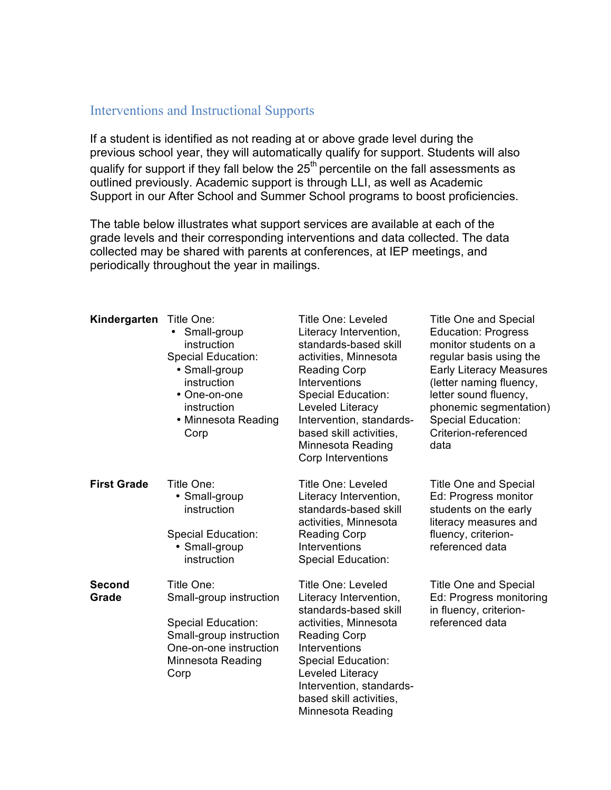# Interventions and Instructional Supports

If a student is identified as not reading at or above grade level during the previous school year, they will automatically qualify for support. Students will also qualify for support if they fall below the  $25<sup>th</sup>$  percentile on the fall assessments as outlined previously. Academic support is through LLI, as well as Academic Support in our After School and Summer School programs to boost proficiencies.

The table below illustrates what support services are available at each of the grade levels and their corresponding interventions and data collected. The data collected may be shared with parents at conferences, at IEP meetings, and periodically throughout the year in mailings.

| Kindergarten           | Title One:<br>Small-group<br>$\bullet$<br>instruction<br><b>Special Education:</b><br>• Small-group<br>instruction<br>• One-on-one<br>instruction<br>• Minnesota Reading<br>Corp | <b>Title One: Leveled</b><br>Literacy Intervention,<br>standards-based skill<br>activities, Minnesota<br><b>Reading Corp</b><br>Interventions<br><b>Special Education:</b><br>Leveled Literacy<br>Intervention, standards-<br>based skill activities,<br><b>Minnesota Reading</b><br>Corp Interventions | <b>Title One and Special</b><br><b>Education: Progress</b><br>monitor students on a<br>regular basis using the<br><b>Early Literacy Measures</b><br>(letter naming fluency,<br>letter sound fluency,<br>phonemic segmentation)<br>Special Education:<br>Criterion-referenced<br>data |
|------------------------|----------------------------------------------------------------------------------------------------------------------------------------------------------------------------------|---------------------------------------------------------------------------------------------------------------------------------------------------------------------------------------------------------------------------------------------------------------------------------------------------------|--------------------------------------------------------------------------------------------------------------------------------------------------------------------------------------------------------------------------------------------------------------------------------------|
| <b>First Grade</b>     | Title One:<br>• Small-group<br>instruction<br><b>Special Education:</b><br>• Small-group<br>instruction                                                                          | <b>Title One: Leveled</b><br>Literacy Intervention,<br>standards-based skill<br>activities, Minnesota<br><b>Reading Corp</b><br><b>Interventions</b><br><b>Special Education:</b>                                                                                                                       | <b>Title One and Special</b><br>Ed: Progress monitor<br>students on the early<br>literacy measures and<br>fluency, criterion-<br>referenced data                                                                                                                                     |
| <b>Second</b><br>Grade | Title One:<br>Small-group instruction<br><b>Special Education:</b><br>Small-group instruction<br>One-on-one instruction<br>Minnesota Reading<br>Corp                             | <b>Title One: Leveled</b><br>Literacy Intervention,<br>standards-based skill<br>activities, Minnesota<br><b>Reading Corp</b><br>Interventions<br><b>Special Education:</b><br>Leveled Literacy<br>Intervention, standards-<br>based skill activities,<br>Minnesota Reading                              | <b>Title One and Special</b><br>Ed: Progress monitoring<br>in fluency, criterion-<br>referenced data                                                                                                                                                                                 |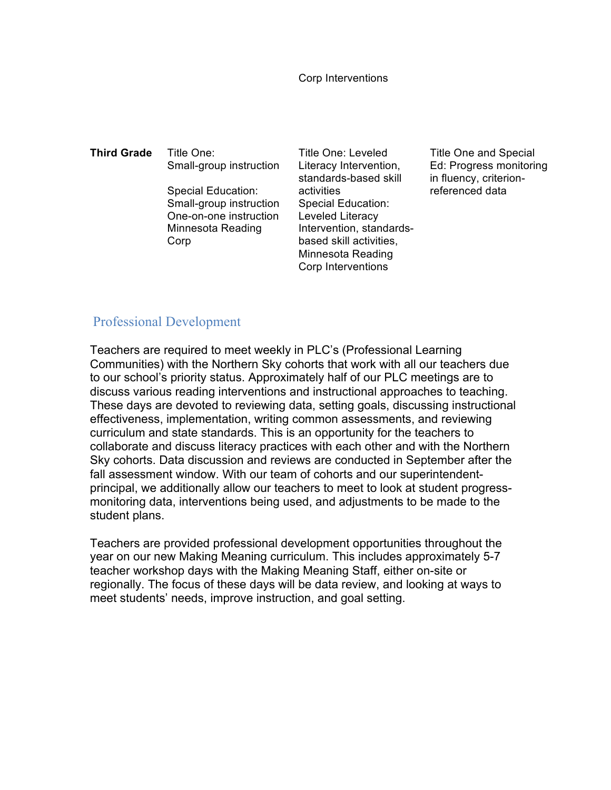Corp Interventions

**Third Grade** Title One: Small-group instruction Special Education: Small-group instruction One-on-one instruction Minnesota Reading Corp

Title One: Leveled Literacy Intervention, standards-based skill activities Special Education: Leveled Literacy Intervention, standardsbased skill activities, Minnesota Reading Corp Interventions

Title One and Special Ed: Progress monitoring in fluency, criterionreferenced data

### Professional Development

Teachers are required to meet weekly in PLC's (Professional Learning Communities) with the Northern Sky cohorts that work with all our teachers due to our school's priority status. Approximately half of our PLC meetings are to discuss various reading interventions and instructional approaches to teaching. These days are devoted to reviewing data, setting goals, discussing instructional effectiveness, implementation, writing common assessments, and reviewing curriculum and state standards. This is an opportunity for the teachers to collaborate and discuss literacy practices with each other and with the Northern Sky cohorts. Data discussion and reviews are conducted in September after the fall assessment window. With our team of cohorts and our superintendentprincipal, we additionally allow our teachers to meet to look at student progressmonitoring data, interventions being used, and adjustments to be made to the student plans.

Teachers are provided professional development opportunities throughout the year on our new Making Meaning curriculum. This includes approximately 5-7 teacher workshop days with the Making Meaning Staff, either on-site or regionally. The focus of these days will be data review, and looking at ways to meet students' needs, improve instruction, and goal setting.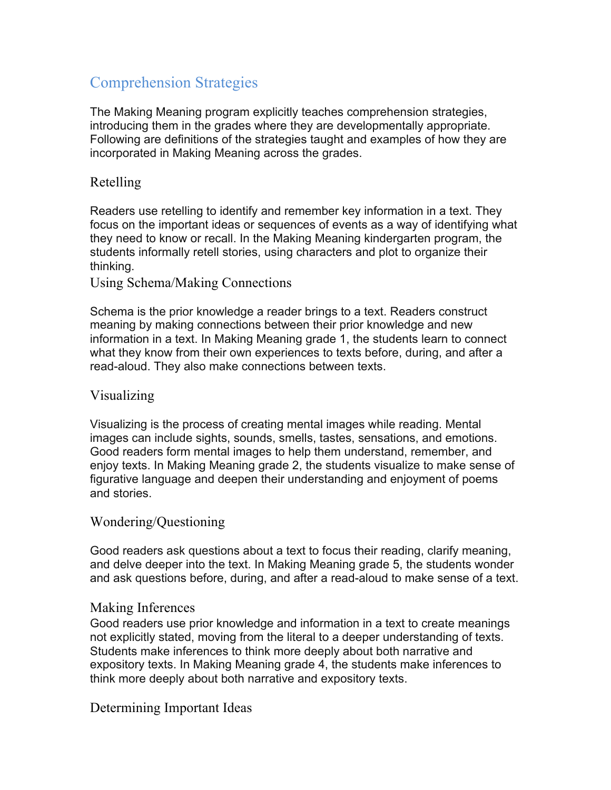# Comprehension Strategies

The Making Meaning program explicitly teaches comprehension strategies, introducing them in the grades where they are developmentally appropriate. Following are definitions of the strategies taught and examples of how they are incorporated in Making Meaning across the grades.

# Retelling

Readers use retelling to identify and remember key information in a text. They focus on the important ideas or sequences of events as a way of identifying what they need to know or recall. In the Making Meaning kindergarten program, the students informally retell stories, using characters and plot to organize their thinking.

Using Schema/Making Connections

Schema is the prior knowledge a reader brings to a text. Readers construct meaning by making connections between their prior knowledge and new information in a text. In Making Meaning grade 1, the students learn to connect what they know from their own experiences to texts before, during, and after a read-aloud. They also make connections between texts.

### Visualizing

Visualizing is the process of creating mental images while reading. Mental images can include sights, sounds, smells, tastes, sensations, and emotions. Good readers form mental images to help them understand, remember, and enjoy texts. In Making Meaning grade 2, the students visualize to make sense of figurative language and deepen their understanding and enjoyment of poems and stories.

#### Wondering/Questioning

Good readers ask questions about a text to focus their reading, clarify meaning, and delve deeper into the text. In Making Meaning grade 5, the students wonder and ask questions before, during, and after a read-aloud to make sense of a text.

#### Making Inferences

Good readers use prior knowledge and information in a text to create meanings not explicitly stated, moving from the literal to a deeper understanding of texts. Students make inferences to think more deeply about both narrative and expository texts. In Making Meaning grade 4, the students make inferences to think more deeply about both narrative and expository texts.

Determining Important Ideas